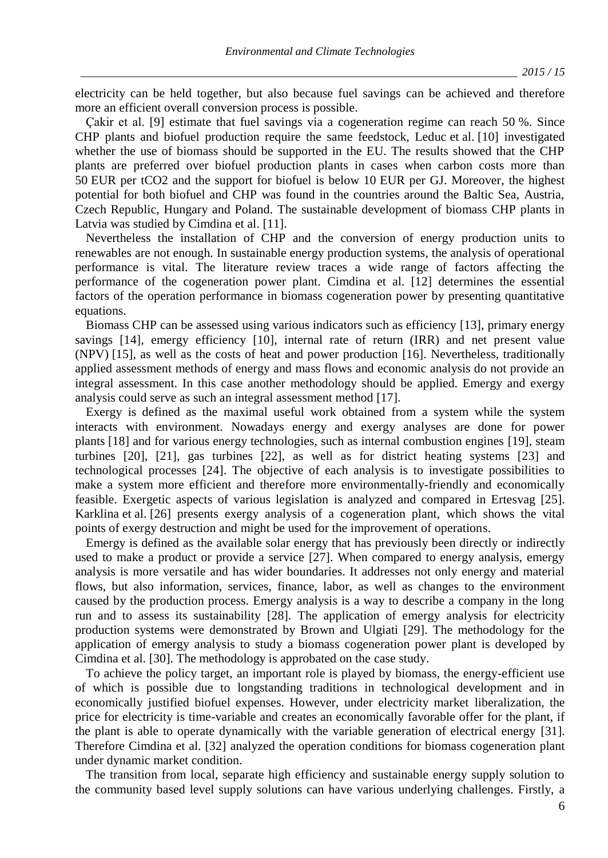electricity can be held together, but also because fuel savings can be achieved and therefore more an efficient overall conversion process is possible.

Çakir et al. [9] estimate that fuel savings via a cogeneration regime can reach 50 %. Since CHP plants and biofuel production require the same feedstock, Leduc et al. [10] investigated whether the use of biomass should be supported in the EU. The results showed that the CHP plants are preferred over biofuel production plants in cases when carbon costs more than 50 EUR per tCO2 and the support for biofuel is below 10 EUR per GJ. Moreover, the highest potential for both biofuel and CHP was found in the countries around the Baltic Sea, Austria, Czech Republic, Hungary and Poland. The sustainable development of biomass CHP plants in Latvia was studied by Cimdina et al. [11].

Nevertheless the installation of CHP and the conversion of energy production units to renewables are not enough. In sustainable energy production systems, the analysis of operational performance is vital. The literature review traces a wide range of factors affecting the performance of the cogeneration power plant. Cimdina et al. [12] determines the essential factors of the operation performance in biomass cogeneration power by presenting quantitative equations.

Biomass CHP can be assessed using various indicators such as efficiency [13], primary energy savings [14], emergy efficiency [10], internal rate of return (IRR) and net present value (NPV) [15], as well as the costs of heat and power production [16]. Nevertheless, traditionally applied assessment methods of energy and mass flows and economic analysis do not provide an integral assessment. In this case another methodology should be applied. Emergy and exergy analysis could serve as such an integral assessment method [17].

Exergy is defined as the maximal useful work obtained from a system while the system interacts with environment. Nowadays energy and exergy analyses are done for power plants [18] and for various energy technologies, such as internal combustion engines [19], steam turbines [20], [21], gas turbines [22], as well as for district heating systems [23] and technological processes [24]. The objective of each analysis is to investigate possibilities to make a system more efficient and therefore more environmentally-friendly and economically feasible. Exergetic aspects of various legislation is analyzed and compared in Ertesvag [25]. Karklina et al. [26] presents exergy analysis of a cogeneration plant, which shows the vital points of exergy destruction and might be used for the improvement of operations.

Emergy is defined as the available solar energy that has previously been directly or indirectly used to make a product or provide a service [27]. When compared to energy analysis, emergy analysis is more versatile and has wider boundaries. It addresses not only energy and material flows, but also information, services, finance, labor, as well as changes to the environment caused by the production process. Emergy analysis is a way to describe a company in the long run and to assess its sustainability [28]. The application of emergy analysis for electricity production systems were demonstrated by Brown and Ulgiati [29]. The methodology for the application of emergy analysis to study a biomass cogeneration power plant is developed by Cimdina et al. [30]. The methodology is approbated on the case study.

To achieve the policy target, an important role is played by biomass, the energy-efficient use of which is possible due to longstanding traditions in technological development and in economically justified biofuel expenses. However, under electricity market liberalization, the price for electricity is time-variable and creates an economically favorable offer for the plant, if the plant is able to operate dynamically with the variable generation of electrical energy [31]. Therefore Cimdina et al. [32] analyzed the operation conditions for biomass cogeneration plant under dynamic market condition.

The transition from local, separate high efficiency and sustainable energy supply solution to the community based level supply solutions can have various underlying challenges. Firstly, a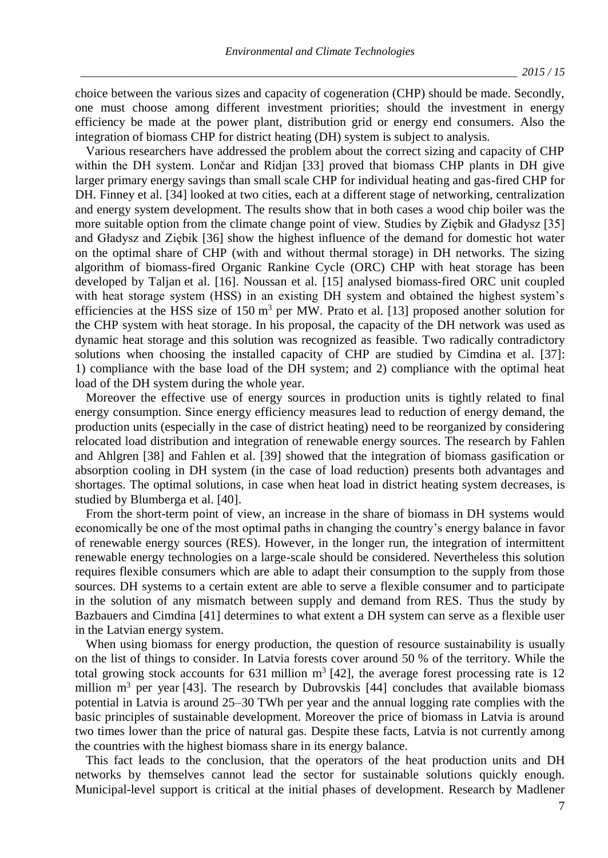choice between the various sizes and capacity of cogeneration (CHP) should be made. Secondly, one must choose among different investment priorities; should the investment in energy efficiency be made at the power plant, distribution grid or energy end consumers. Also the integration of biomass CHP for district heating (DH) system is subject to analysis.

Various researchers have addressed the problem about the correct sizing and capacity of CHP within the DH system. Lončar and Ridjan [33] proved that biomass CHP plants in DH give larger primary energy savings than small scale CHP for individual heating and gas-fired CHP for DH. Finney et al. [34] looked at two cities, each at a different stage of networking, centralization and energy system development. The results show that in both cases a wood chip boiler was the more suitable option from the climate change point of view. Studies by Ziębik and Gładysz [35] and Gładysz and Ziębik [36] show the highest influence of the demand for domestic hot water on the optimal share of CHP (with and without thermal storage) in DH networks. The sizing algorithm of biomass-fired Organic Rankine Cycle (ORC) CHP with heat storage has been developed by Taljan et al. [16]. Noussan et al. [15] analysed biomass-fired ORC unit coupled with heat storage system (HSS) in an existing DH system and obtained the highest system's efficiencies at the HSS size of 150 m<sup>3</sup> per MW. Prato et al. [13] proposed another solution for the CHP system with heat storage. In his proposal, the capacity of the DH network was used as dynamic heat storage and this solution was recognized as feasible. Two radically contradictory solutions when choosing the installed capacity of CHP are studied by Cimdina et al. [37]: 1) compliance with the base load of the DH system; and 2) compliance with the optimal heat load of the DH system during the whole year.

Moreover the effective use of energy sources in production units is tightly related to final energy consumption. Since energy efficiency measures lead to reduction of energy demand, the production units (especially in the case of district heating) need to be reorganized by considering relocated load distribution and integration of renewable energy sources. The research by Fahlen and Ahlgren [38] and Fahlen et al. [39] showed that the integration of biomass gasification or absorption cooling in DH system (in the case of load reduction) presents both advantages and shortages. The optimal solutions, in case when heat load in district heating system decreases, is studied by Blumberga et al. [40].

From the short-term point of view, an increase in the share of biomass in DH systems would economically be one of the most optimal paths in changing the country's energy balance in favor of renewable energy sources (RES). However, in the longer run, the integration of intermittent renewable energy technologies on a large-scale should be considered. Nevertheless this solution requires flexible consumers which are able to adapt their consumption to the supply from those sources. DH systems to a certain extent are able to serve a flexible consumer and to participate in the solution of any mismatch between supply and demand from RES. Thus the study by Bazbauers and Cimdina [41] determines to what extent a DH system can serve as a flexible user in the Latvian energy system.

When using biomass for energy production, the question of resource sustainability is usually on the list of things to consider. In Latvia forests cover around 50 % of the territory. While the total growing stock accounts for 631 million  $m^3$  [42], the average forest processing rate is 12 million  $m<sup>3</sup>$  per year [43]. The research by Dubrovskis [44] concludes that available biomass potential in Latvia is around 25–30 TWh per year and the annual logging rate complies with the basic principles of sustainable development. Moreover the price of biomass in Latvia is around two times lower than the price of natural gas. Despite these facts, Latvia is not currently among the countries with the highest biomass share in its energy balance.

This fact leads to the conclusion, that the operators of the heat production units and DH networks by themselves cannot lead the sector for sustainable solutions quickly enough. Municipal-level support is critical at the initial phases of development. Research by Madlener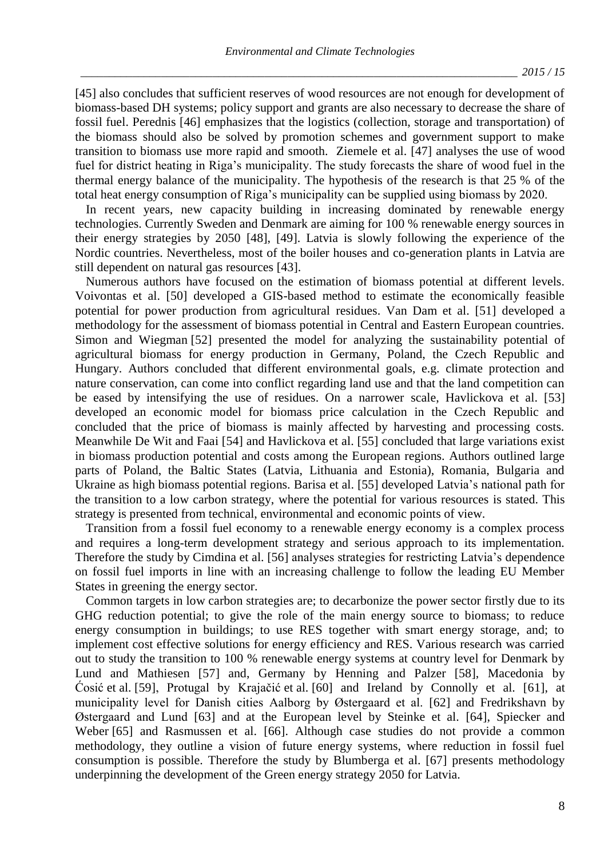[45] also concludes that sufficient reserves of wood resources are not enough for development of biomass-based DH systems; policy support and grants are also necessary to decrease the share of fossil fuel. Perednis [46] emphasizes that the logistics (collection, storage and transportation) of the biomass should also be solved by promotion schemes and government support to make transition to biomass use more rapid and smooth. Ziemele et al. [47] analyses the use of wood fuel for district heating in Riga's municipality. The study forecasts the share of wood fuel in the thermal energy balance of the municipality. The hypothesis of the research is that 25 % of the total heat energy consumption of Riga's municipality can be supplied using biomass by 2020.

In recent years, new capacity building in increasing dominated by renewable energy technologies. Currently Sweden and Denmark are aiming for 100 % renewable energy sources in their energy strategies by 2050 [48], [49]. Latvia is slowly following the experience of the Nordic countries. Nevertheless, most of the boiler houses and co-generation plants in Latvia are still dependent on natural gas resources [43].

Numerous authors have focused on the estimation of biomass potential at different levels. Voivontas et al. [50] developed a GIS-based method to estimate the economically feasible potential for power production from agricultural residues. Van Dam et al. [51] developed a methodology for the assessment of biomass potential in Central and Eastern European countries. Simon and Wiegman [52] presented the model for analyzing the sustainability potential of agricultural biomass for energy production in Germany, Poland, the Czech Republic and Hungary. Authors concluded that different environmental goals, e.g. climate protection and nature conservation, can come into conflict regarding land use and that the land competition can be eased by intensifying the use of residues. On a narrower scale, Havlickova et al. [53] developed an economic model for biomass price calculation in the Czech Republic and concluded that the price of biomass is mainly affected by harvesting and processing costs. Meanwhile De Wit and Faai [54] and Havlickova et al. [55] concluded that large variations exist in biomass production potential and costs among the European regions. Authors outlined large parts of Poland, the Baltic States (Latvia, Lithuania and Estonia), Romania, Bulgaria and Ukraine as high biomass potential regions. Barisa et al. [55] developed Latvia's national path for the transition to a low carbon strategy, where the potential for various resources is stated. This strategy is presented from technical, environmental and economic points of view.

Transition from a fossil fuel economy to a renewable energy economy is a complex process and requires a long-term development strategy and serious approach to its implementation. Therefore the study by Cimdina et al. [56] analyses strategies for restricting Latvia's dependence on fossil fuel imports in line with an increasing challenge to follow the leading EU Member States in greening the energy sector.

Common targets in low carbon strategies are; to decarbonize the power sector firstly due to its GHG reduction potential; to give the role of the main energy source to biomass; to reduce energy consumption in buildings; to use RES together with smart energy storage, and; to implement cost effective solutions for energy efficiency and RES. Various research was carried out to study the transition to 100 % renewable energy systems at country level for Denmark by Lund and Mathiesen [57] and, Germany by Henning and Palzer [58], Macedonia by Ćosić et al. [59], Protugal by Krajačić et al. [60] and Ireland by Connolly et al. [61], at municipality level for Danish cities Aalborg by Østergaard et al. [62] and Fredrikshavn by Østergaard and Lund [63] and at the European level by Steinke et al. [64], Spiecker and Weber [65] and Rasmussen et al. [66]. Although case studies do not provide a common methodology, they outline a vision of future energy systems, where reduction in fossil fuel consumption is possible. Therefore the study by Blumberga et al. [67] presents methodology underpinning the development of the Green energy strategy 2050 for Latvia.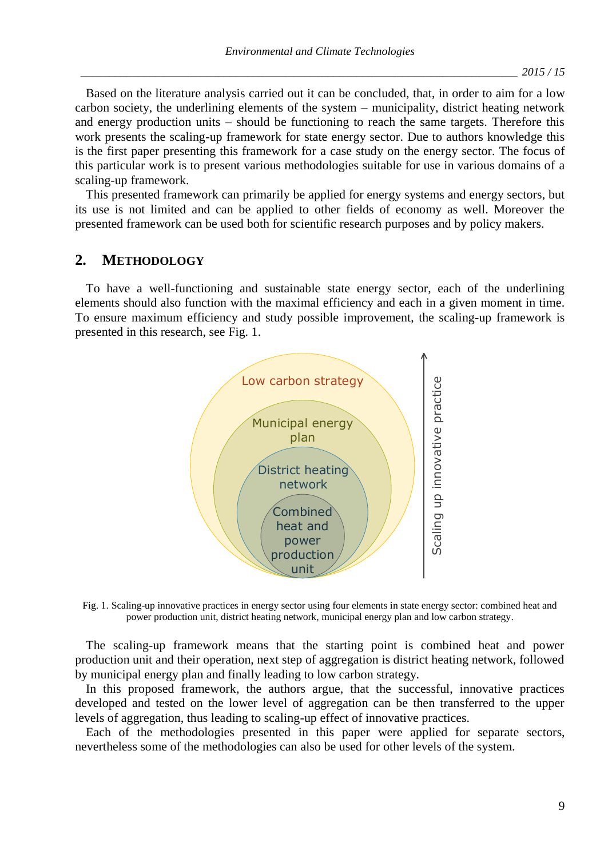Based on the literature analysis carried out it can be concluded, that, in order to aim for a low carbon society, the underlining elements of the system – municipality, district heating network and energy production units – should be functioning to reach the same targets. Therefore this work presents the scaling-up framework for state energy sector. Due to authors knowledge this is the first paper presenting this framework for a case study on the energy sector. The focus of this particular work is to present various methodologies suitable for use in various domains of a scaling-up framework.

This presented framework can primarily be applied for energy systems and energy sectors, but its use is not limited and can be applied to other fields of economy as well. Moreover the presented framework can be used both for scientific research purposes and by policy makers.

# **2. METHODOLOGY**

To have a well-functioning and sustainable state energy sector, each of the underlining elements should also function with the maximal efficiency and each in a given moment in time. To ensure maximum efficiency and study possible improvement, the scaling-up framework is presented in this research, see Fig. 1.



Fig. 1. Scaling-up innovative practices in energy sector using four elements in state energy sector: combined heat and power production unit, district heating network, municipal energy plan and low carbon strategy.

The scaling-up framework means that the starting point is combined heat and power production unit and their operation, next step of aggregation is district heating network, followed by municipal energy plan and finally leading to low carbon strategy.

In this proposed framework, the authors argue, that the successful, innovative practices developed and tested on the lower level of aggregation can be then transferred to the upper levels of aggregation, thus leading to scaling-up effect of innovative practices.

Each of the methodologies presented in this paper were applied for separate sectors, nevertheless some of the methodologies can also be used for other levels of the system.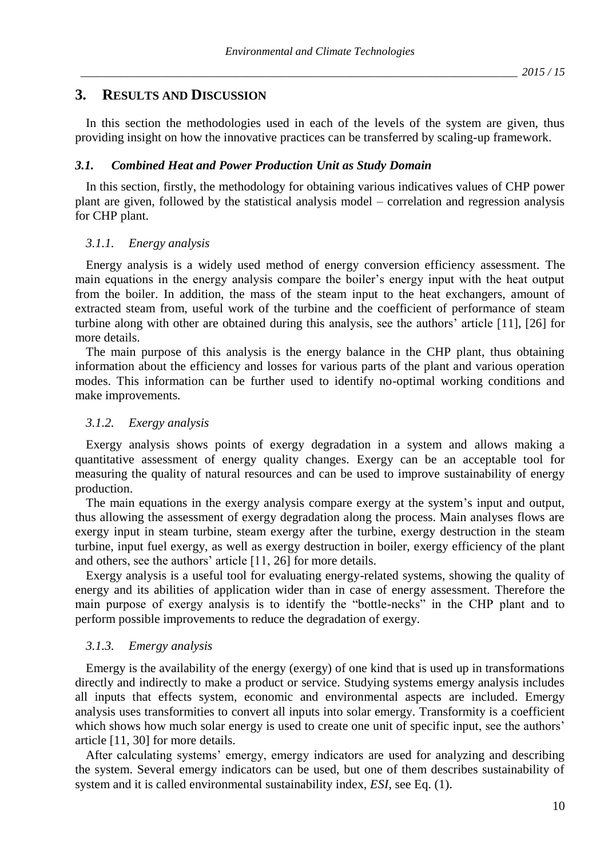# **3. RESULTS AND DISCUSSION**

In this section the methodologies used in each of the levels of the system are given, thus providing insight on how the innovative practices can be transferred by scaling-up framework.

### *3.1. Combined Heat and Power Production Unit as Study Domain*

In this section, firstly, the methodology for obtaining various indicatives values of CHP power plant are given, followed by the statistical analysis model – correlation and regression analysis for CHP plant.

### *3.1.1. Energy analysis*

Energy analysis is a widely used method of energy conversion efficiency assessment. The main equations in the energy analysis compare the boiler's energy input with the heat output from the boiler. In addition, the mass of the steam input to the heat exchangers, amount of extracted steam from, useful work of the turbine and the coefficient of performance of steam turbine along with other are obtained during this analysis, see the authors' article [11], [26] for more details.

The main purpose of this analysis is the energy balance in the CHP plant, thus obtaining information about the efficiency and losses for various parts of the plant and various operation modes. This information can be further used to identify no-optimal working conditions and make improvements.

#### *3.1.2. Exergy analysis*

Exergy analysis shows points of exergy degradation in a system and allows making a quantitative assessment of energy quality changes. Exergy can be an acceptable tool for measuring the quality of natural resources and can be used to improve sustainability of energy production.

The main equations in the exergy analysis compare exergy at the system's input and output, thus allowing the assessment of exergy degradation along the process. Main analyses flows are exergy input in steam turbine, steam exergy after the turbine, exergy destruction in the steam turbine, input fuel exergy, as well as exergy destruction in boiler, exergy efficiency of the plant and others, see the authors' article [11, 26] for more details.

Exergy analysis is a useful tool for evaluating energy-related systems, showing the quality of energy and its abilities of application wider than in case of energy assessment. Therefore the main purpose of exergy analysis is to identify the "bottle-necks" in the CHP plant and to perform possible improvements to reduce the degradation of exergy.

## *3.1.3. Emergy analysis*

Emergy is the availability of the energy (exergy) of one kind that is used up in transformations directly and indirectly to make a product or service. Studying systems emergy analysis includes all inputs that effects system, economic and environmental aspects are included. Emergy analysis uses transformities to convert all inputs into solar emergy. Transformity is a coefficient which shows how much solar energy is used to create one unit of specific input, see the authors' article [11, 30] for more details.

After calculating systems' emergy, emergy indicators are used for analyzing and describing the system. Several emergy indicators can be used, but one of them describes sustainability of system and it is called environmental sustainability index, *ESI*, see Eq. (1).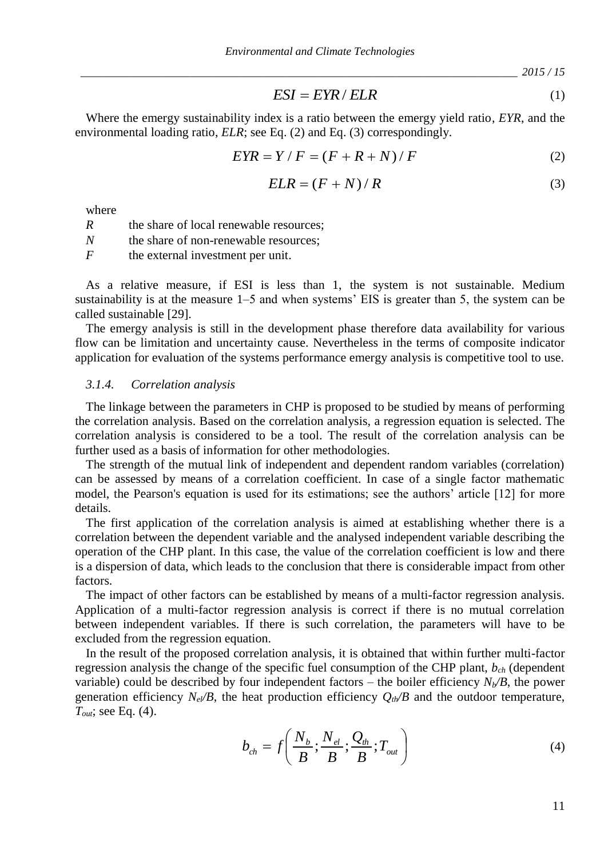*\_\_\_\_\_\_\_\_\_\_\_\_\_\_\_\_\_\_\_\_\_\_\_\_\_\_\_\_\_\_\_\_\_\_\_\_\_\_\_\_\_\_\_\_\_\_\_\_\_\_\_\_\_\_\_\_\_\_\_\_\_\_\_\_\_\_\_\_\_\_\_\_\_\_\_\_ 2015 / 15*

$$
ESI = EYR / ELR
$$
 (1)

Where the emergy sustainability index is a ratio between the emergy yield ratio, *EYR,* and the environmental loading ratio, *ELR*; see Eq. (2) and Eq. (3) correspondingly.

$$
EYR = Y/F = (F + R + N)/F
$$
 (2)

$$
ELR = (F + N) / R \tag{3}
$$

where

*R* the share of local renewable resources;

*N* the share of non-renewable resources;

*F* the external investment per unit.

As a relative measure, if ESI is less than 1, the system is not sustainable. Medium sustainability is at the measure  $1-5$  and when systems' EIS is greater than 5, the system can be called sustainable [29].

The emergy analysis is still in the development phase therefore data availability for various flow can be limitation and uncertainty cause. Nevertheless in the terms of composite indicator application for evaluation of the systems performance emergy analysis is competitive tool to use.

### *3.1.4. Correlation analysis*

The linkage between the parameters in CHP is proposed to be studied by means of performing the correlation analysis. Based on the correlation analysis, a regression equation is selected. The correlation analysis is considered to be a tool. The result of the correlation analysis can be further used as a basis of information for other methodologies.

The strength of the mutual link of independent and dependent random variables (correlation) can be assessed by means of a correlation coefficient. In case of a single factor mathematic model, the Pearson's equation is used for its estimations; see the authors' article [12] for more details.

The first application of the correlation analysis is aimed at establishing whether there is a correlation between the dependent variable and the analysed independent variable describing the operation of the CHP plant. In this case, the value of the correlation coefficient is low and there is a dispersion of data, which leads to the conclusion that there is considerable impact from other factors.

The impact of other factors can be established by means of a multi-factor regression analysis. Application of a multi-factor regression analysis is correct if there is no mutual correlation between independent variables. If there is such correlation, the parameters will have to be excluded from the regression equation.

*ESI* = *EYR* / *ELR*<br> *R* is a ratio betwen the emergy yield ratio, *EYR*, and the<br>  $\frac{2q}{dt}(2)$  and  $\frac{2q}{dt}(3)$  correspondingly.<br>  $T/F = (F + R + N)/F$  (2)<br>  $SLR = (F + N)/R$  (3)<br>  $SLR = (F + N)/R$  (3)<br>  $SLR = (F + N)/R$  (3)<br>
TESOR =  $(F + N)/R$  (3 In the result of the proposed correlation analysis, it is obtained that within further multi-factor regression analysis the change of the specific fuel consumption of the CHP plant, *bch* (dependent variable) could be described by four independent factors – the boiler efficiency  $N_b/B$ , the power generation efficiency  $N_e$ */B*, the heat production efficiency  $Q_t$ <sup>*N*</sup>*B* and the outdoor temperature, *Tout*; see Eq. (4).

$$
b_{ch} = f\left(\frac{N_b}{B}; \frac{N_{el}}{B}; \frac{Q_{th}}{B}; T_{out}\right)
$$
 (4)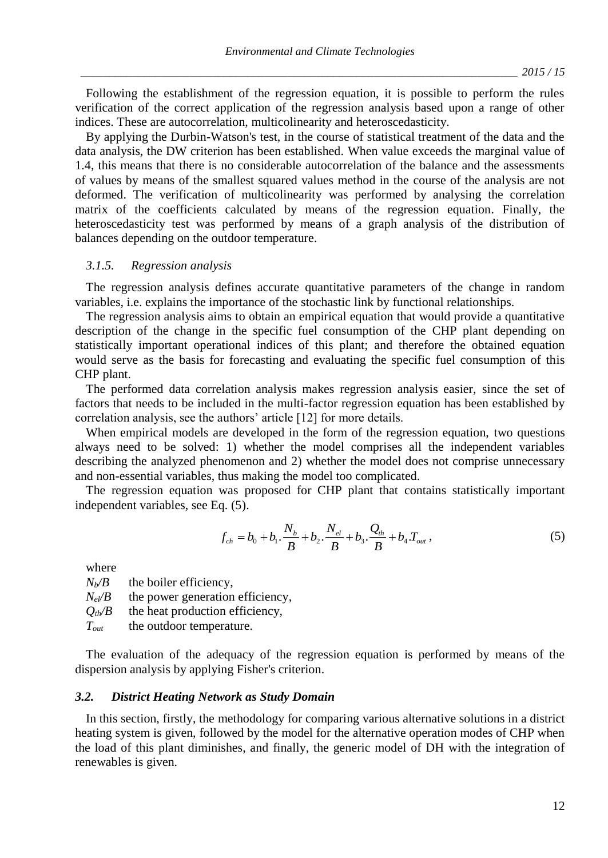Following the establishment of the regression equation, it is possible to perform the rules verification of the correct application of the regression analysis based upon a range of other indices. These are autocorrelation, multicolinearity and heteroscedasticity.

By applying the Durbin-Watson's test, in the course of statistical treatment of the data and the data analysis, the DW criterion has been established. When value exceeds the marginal value of 1.4, this means that there is no considerable autocorrelation of the balance and the assessments of values by means of the smallest squared values method in the course of the analysis are not deformed. The verification of multicolinearity was performed by analysing the correlation matrix of the coefficients calculated by means of the regression equation. Finally, the heteroscedasticity test was performed by means of a graph analysis of the distribution of balances depending on the outdoor temperature.

### *3.1.5. Regression analysis*

The regression analysis defines accurate quantitative parameters of the change in random variables, i.e. explains the importance of the stochastic link by functional relationships.

The regression analysis aims to obtain an empirical equation that would provide a quantitative description of the change in the specific fuel consumption of the CHP plant depending on statistically important operational indices of this plant; and therefore the obtained equation would serve as the basis for forecasting and evaluating the specific fuel consumption of this CHP plant.

The performed data correlation analysis makes regression analysis easier, since the set of factors that needs to be included in the multi-factor regression equation has been established by correlation analysis, see the authors' article [12] for more details.

When empirical models are developed in the form of the regression equation, two questions always need to be solved: 1) whether the model comprises all the independent variables describing the analyzed phenomenon and 2) whether the model does not comprise unnecessary and non-essential variables, thus making the model too complicated.

The regression equation was proposed for CHP plant that contains statistically important independent variables, see Eq. (5).

$$
f_{ch} = b_0 + b_1 \cdot \frac{N_b}{B} + b_2 \cdot \frac{N_{el}}{B} + b_3 \cdot \frac{Q_{th}}{B} + b_4 T_{out} , \qquad (5)
$$

where

 $N_b$ */B* the boiler efficiency,  $N_e$ */B* the power generation efficiency,  $Q$ <sup>th</sup>/*B* the heat production efficiency, *Tout* the outdoor temperature.

The evaluation of the adequacy of the regression equation is performed by means of the dispersion analysis by applying Fisher's criterion.

### *3.2. District Heating Network as Study Domain*

In this section, firstly, the methodology for comparing various alternative solutions in a district heating system is given, followed by the model for the alternative operation modes of CHP when the load of this plant diminishes, and finally, the generic model of DH with the integration of renewables is given.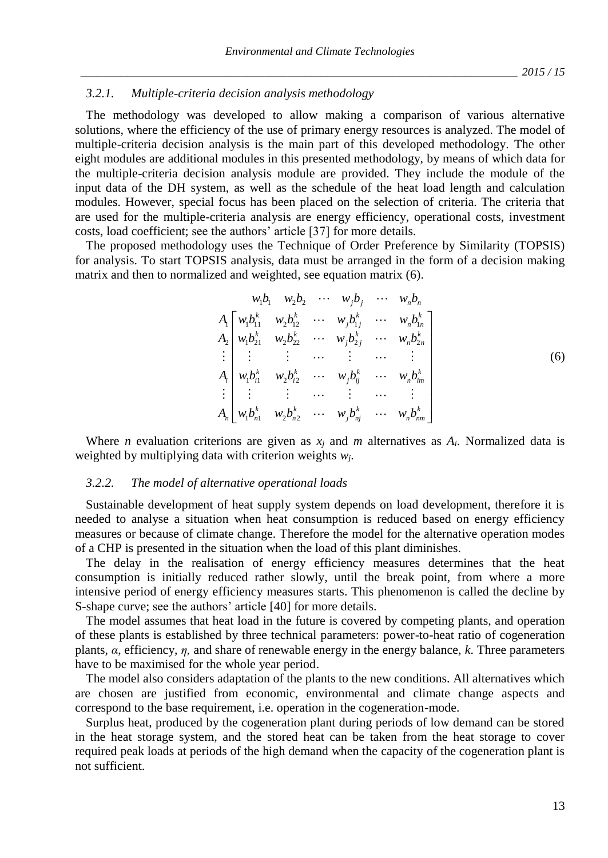#### *3.2.1. Multiple-criteria decision analysis methodology*

The methodology was developed to allow making a comparison of various alternative solutions, where the efficiency of the use of primary energy resources is analyzed. The model of multiple-criteria decision analysis is the main part of this developed methodology. The other eight modules are additional modules in this presented methodology, by means of which data for the multiple-criteria decision analysis module are provided. They include the module of the input data of the DH system, as well as the schedule of the heat load length and calculation modules. However, special focus has been placed on the selection of criteria. The criteria that are used for the multiple-criteria analysis are energy efficiency, operational costs, investment costs, load coefficient; see the authors' article [37] for more details.

The proposed methodology uses the Technique of Order Preference by Similarity (TOPSIS) for analysis. To start TOPSIS analysis, data must be arranged in the form of a decision making matrix and then to normalized and weighted, see equation matrix (6).

$$
w_{1}b_{1} \t w_{2}b_{2} \t \t \t \t \t w_{j}b_{j} \t \t \t \t \t w_{n}b_{n}
$$
\n
$$
A_{1} \begin{bmatrix} w_{1}b_{11}^{k} & w_{2}b_{12}^{k} & \cdots & w_{j}b_{j}^{k} & \cdots & w_{n}b_{n} \ w_{1}b_{21}^{k} & w_{2}b_{22}^{k} & \cdots & w_{j}b_{2j}^{k} & \cdots & w_{n}b_{2n}^{k} \end{bmatrix}
$$
\n
$$
\vdots \begin{bmatrix} w_{1}b_{11}^{k} & w_{2}b_{12}^{k} & \cdots & w_{j}b_{j}^{k} & \cdots & w_{n}b_{n}^{k} \end{bmatrix}
$$
\n
$$
\vdots \begin{bmatrix} w_{1}b_{i1}^{k} & w_{2}b_{i2}^{k} & \cdots & w_{j}b_{ij}^{k} & \cdots & w_{n}b_{im}^{k} \end{bmatrix}
$$
\n
$$
\vdots \begin{bmatrix} w_{1}b_{i1}^{k} & w_{2}b_{i2}^{k} & \cdots & w_{j}b_{nj}^{k} & \cdots & w_{n}b_{nm}^{k} \end{bmatrix}
$$
\n
$$
\vdots \begin{bmatrix} w_{1}b_{i1}^{k} & w_{2}b_{i2}^{k} & \cdots & w_{j}b_{nj}^{k} & \cdots & w_{nj}b_{nm}^{k} \end{bmatrix}
$$
\n
$$
(6)
$$

Where *n* evaluation criterions are given as  $x_i$  and *m* alternatives as  $A_i$ . Normalized data is weighted by multiplying data with criterion weights *wj*.

#### *3.2.2. The model of alternative operational loads*

Sustainable development of heat supply system depends on load development, therefore it is needed to analyse a situation when heat consumption is reduced based on energy efficiency measures or because of climate change. Therefore the model for the alternative operation modes of a CHP is presented in the situation when the load of this plant diminishes.

The delay in the realisation of energy efficiency measures determines that the heat consumption is initially reduced rather slowly, until the break point, from where a more intensive period of energy efficiency measures starts. This phenomenon is called the decline by S-shape curve; see the authors' article [40] for more details.

The model assumes that heat load in the future is covered by competing plants, and operation of these plants is established by three technical parameters: power-to-heat ratio of cogeneration plants, *α*, efficiency, *η,* and share of renewable energy in the energy balance, *k*. Three parameters have to be maximised for the whole year period.

The model also considers adaptation of the plants to the new conditions. All alternatives which are chosen are justified from economic, environmental and climate change aspects and correspond to the base requirement, i.e. operation in the cogeneration-mode.

Surplus heat, produced by the cogeneration plant during periods of low demand can be stored in the heat storage system, and the stored heat can be taken from the heat storage to cover required peak loads at periods of the high demand when the capacity of the cogeneration plant is not sufficient.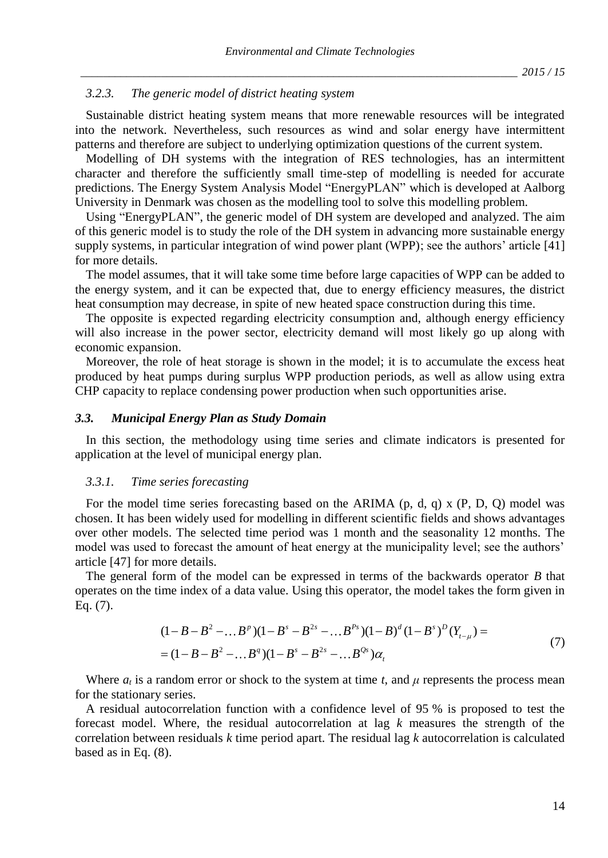#### *3.2.3. The generic model of district heating system*

Sustainable district heating system means that more renewable resources will be integrated into the network. Nevertheless, such resources as wind and solar energy have intermittent patterns and therefore are subject to underlying optimization questions of the current system.

Modelling of DH systems with the integration of RES technologies, has an intermittent character and therefore the sufficiently small time-step of modelling is needed for accurate predictions. The Energy System Analysis Model "EnergyPLAN" which is developed at Aalborg University in Denmark was chosen as the modelling tool to solve this modelling problem.

Using "EnergyPLAN", the generic model of DH system are developed and analyzed. The aim of this generic model is to study the role of the DH system in advancing more sustainable energy supply systems, in particular integration of wind power plant (WPP); see the authors' article [41] for more details.

The model assumes, that it will take some time before large capacities of WPP can be added to the energy system, and it can be expected that, due to energy efficiency measures, the district heat consumption may decrease, in spite of new heated space construction during this time.

The opposite is expected regarding electricity consumption and, although energy efficiency will also increase in the power sector, electricity demand will most likely go up along with economic expansion.

Moreover, the role of heat storage is shown in the model; it is to accumulate the excess heat produced by heat pumps during surplus WPP production periods, as well as allow using extra CHP capacity to replace condensing power production when such opportunities arise.

#### *3.3. Municipal Energy Plan as Study Domain*

In this section, the methodology using time series and climate indicators is presented for application at the level of municipal energy plan.

### *3.3.1. Time series forecasting*

For the model time series forecasting based on the ARIMA  $(p, d, q)$  x  $(P, D, Q)$  model was chosen. It has been widely used for modelling in different scientific fields and shows advantages over other models. The selected time period was 1 month and the seasonality 12 months. The model was used to forecast the amount of heat energy at the municipality level; see the authors' article [47] for more details.

The general form of the model can be expressed in terms of the backwards operator *B* that operates on the time index of a data value. Using this operator, the model takes the form given in Eq. (7).

$$
(1 - B - B2 - ...Bp)(1 - Bs - B2s - ...Bps)(1 - B)d(1 - Bs)D(Yt-\mu) =
$$
  
= (1 - B - B<sup>2</sup> - ...B<sup>q</sup>)(1 - B<sup>s</sup> - B<sup>2s</sup> - ...B<sup>Qs</sup>) $\alpha_t$  (7)

Where  $a_t$  is a random error or shock to the system at time *t*, and  $\mu$  represents the process mean for the stationary series.

A residual autocorrelation function with a confidence level of 95 % is proposed to test the forecast model. Where, the residual autocorrelation at lag *k* measures the strength of the correlation between residuals *k* time period apart. The residual lag *k* autocorrelation is calculated based as in Eq. (8).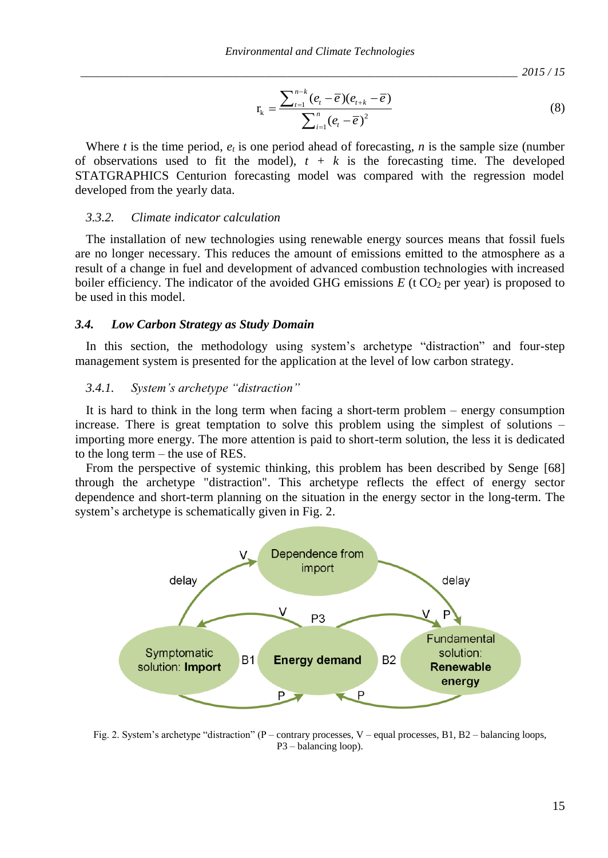*\_\_\_\_\_\_\_\_\_\_\_\_\_\_\_\_\_\_\_\_\_\_\_\_\_\_\_\_\_\_\_\_\_\_\_\_\_\_\_\_\_\_\_\_\_\_\_\_\_\_\_\_\_\_\_\_\_\_\_\_\_\_\_\_\_\_\_\_\_\_\_\_\_\_\_\_ 2015 / 15*

$$
r_{k} = \frac{\sum_{t=1}^{n-k} (e_{t} - \overline{e})(e_{t+k} - \overline{e})}{\sum_{i=1}^{n} (e_{t} - \overline{e})^{2}}
$$
(8)

Where *t* is the time period,  $e_t$  is one period ahead of forecasting, *n* is the sample size (number of observations used to fit the model),  $t + k$  is the forecasting time. The developed STATGRAPHICS Centurion forecasting model was compared with the regression model developed from the yearly data.

## *3.3.2. Climate indicator calculation*

The installation of new technologies using renewable energy sources means that fossil fuels are no longer necessary. This reduces the amount of emissions emitted to the atmosphere as a result of a change in fuel and development of advanced combustion technologies with increased boiler efficiency. The indicator of the avoided GHG emissions  $E$  (t CO<sub>2</sub> per year) is proposed to be used in this model.

#### *3.4. Low Carbon Strategy as Study Domain*

In this section, the methodology using system's archetype "distraction" and four-step management system is presented for the application at the level of low carbon strategy.

# *3.4.1. System's archetype "distraction"*

It is hard to think in the long term when facing a short-term problem – energy consumption increase. There is great temptation to solve this problem using the simplest of solutions – importing more energy. The more attention is paid to short-term solution, the less it is dedicated to the long term – the use of RES.

From the perspective of systemic thinking, this problem has been described by Senge [68] through the archetype "distraction". This archetype reflects the effect of energy sector dependence and short-term planning on the situation in the energy sector in the long-term. The system's archetype is schematically given in Fig. 2.



Fig. 2. System's archetype "distraction" (P – contrary processes, V – equal processes, B1, B2 – balancing loops, P3 – balancing loop).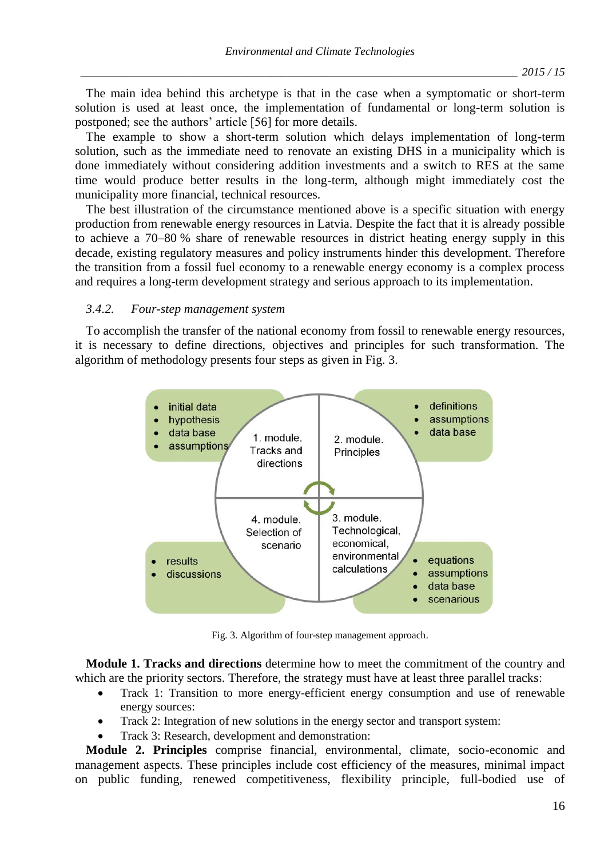The main idea behind this archetype is that in the case when a symptomatic or short-term solution is used at least once, the implementation of fundamental or long-term solution is postponed; see the authors' article [56] for more details.

The example to show a short-term solution which delays implementation of long-term solution, such as the immediate need to renovate an existing DHS in a municipality which is done immediately without considering addition investments and a switch to RES at the same time would produce better results in the long-term, although might immediately cost the municipality more financial, technical resources.

The best illustration of the circumstance mentioned above is a specific situation with energy production from renewable energy resources in Latvia. Despite the fact that it is already possible to achieve a 70–80 % share of renewable resources in district heating energy supply in this decade, existing regulatory measures and policy instruments hinder this development. Therefore the transition from a fossil fuel economy to a renewable energy economy is a complex process and requires a long-term development strategy and serious approach to its implementation.

### *3.4.2. Four-step management system*

To accomplish the transfer of the national economy from fossil to renewable energy resources, it is necessary to define directions, objectives and principles for such transformation. The algorithm of methodology presents four steps as given in Fig. 3.



Fig. 3. Algorithm of four-step management approach.

**Module 1. Tracks and directions** determine how to meet the commitment of the country and which are the priority sectors. Therefore, the strategy must have at least three parallel tracks:

- Track 1: Transition to more energy-efficient energy consumption and use of renewable energy sources:
- Track 2: Integration of new solutions in the energy sector and transport system:
- Track 3: Research, development and demonstration:

**Module 2. Principles** comprise financial, environmental, climate, socio-economic and management aspects. These principles include cost efficiency of the measures, minimal impact on public funding, renewed competitiveness, flexibility principle, full-bodied use of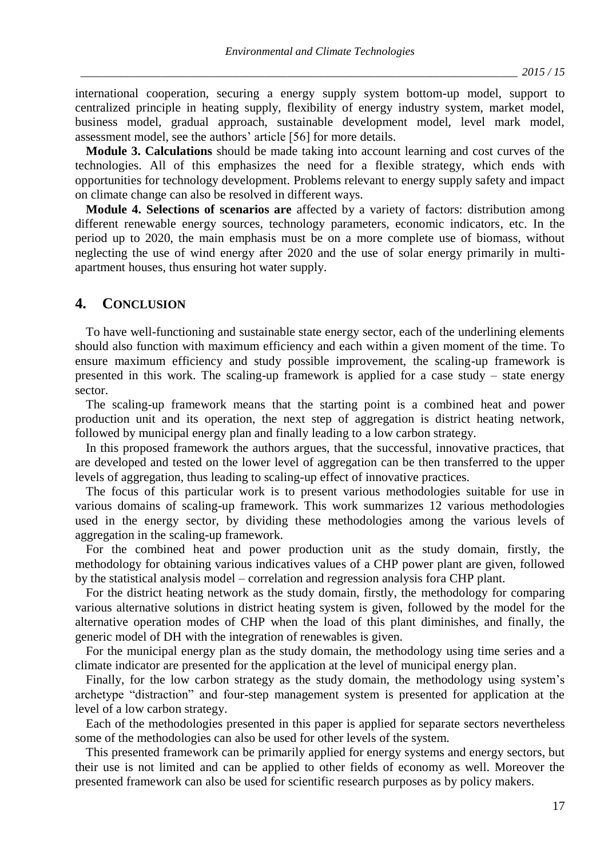international cooperation, securing a energy supply system bottom-up model, support to centralized principle in heating supply, flexibility of energy industry system, market model, business model, gradual approach, sustainable development model, level mark model, assessment model, see the authors' article [56] for more details.

**Module 3. Calculations** should be made taking into account learning and cost curves of the technologies. All of this emphasizes the need for a flexible strategy, which ends with opportunities for technology development. Problems relevant to energy supply safety and impact on climate change can also be resolved in different ways.

**Module 4. Selections of scenarios are** affected by a variety of factors: distribution among different renewable energy sources, technology parameters, economic indicators, etc. In the period up to 2020, the main emphasis must be on a more complete use of biomass, without neglecting the use of wind energy after 2020 and the use of solar energy primarily in multiapartment houses, thus ensuring hot water supply.

# **4. CONCLUSION**

To have well-functioning and sustainable state energy sector, each of the underlining elements should also function with maximum efficiency and each within a given moment of the time. To ensure maximum efficiency and study possible improvement, the scaling-up framework is presented in this work. The scaling-up framework is applied for a case study – state energy sector.

The scaling-up framework means that the starting point is a combined heat and power production unit and its operation, the next step of aggregation is district heating network, followed by municipal energy plan and finally leading to a low carbon strategy.

In this proposed framework the authors argues, that the successful, innovative practices, that are developed and tested on the lower level of aggregation can be then transferred to the upper levels of aggregation, thus leading to scaling-up effect of innovative practices.

The focus of this particular work is to present various methodologies suitable for use in various domains of scaling-up framework. This work summarizes 12 various methodologies used in the energy sector, by dividing these methodologies among the various levels of aggregation in the scaling-up framework.

For the combined heat and power production unit as the study domain, firstly, the methodology for obtaining various indicatives values of a CHP power plant are given, followed by the statistical analysis model – correlation and regression analysis fora CHP plant.

For the district heating network as the study domain, firstly, the methodology for comparing various alternative solutions in district heating system is given, followed by the model for the alternative operation modes of CHP when the load of this plant diminishes, and finally, the generic model of DH with the integration of renewables is given.

For the municipal energy plan as the study domain, the methodology using time series and a climate indicator are presented for the application at the level of municipal energy plan.

Finally, for the low carbon strategy as the study domain, the methodology using system's archetype "distraction" and four-step management system is presented for application at the level of a low carbon strategy.

Each of the methodologies presented in this paper is applied for separate sectors nevertheless some of the methodologies can also be used for other levels of the system.

This presented framework can be primarily applied for energy systems and energy sectors, but their use is not limited and can be applied to other fields of economy as well. Moreover the presented framework can also be used for scientific research purposes as by policy makers.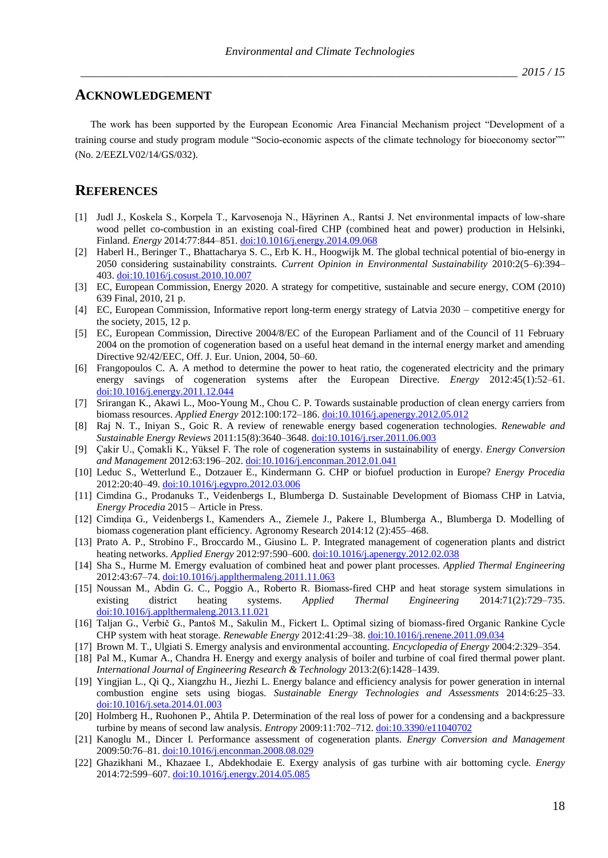## **ACKNOWLEDGEMENT**

The work has been supported by the European Economic Area Financial Mechanism project "Development of a training course and study program module "Socio-economic aspects of the climate technology for bioeconomy sector"" (No. 2/EEZLV02/14/GS/032).

# **REFERENCES**

- [1] Judl J., Koskela S., Korpela T., Karvosenoja N., Häyrinen A., Rantsi J. Net environmental impacts of low-share wood pellet co-combustion in an existing coal-fired CHP (combined heat and power) production in Helsinki, Finland. *Energy* 2014:77:844–851[. doi:10.1016/j.energy.2014.09.068](http://dx.doi.org/10.1016/j.energy.2014.09.068)
- [2] Haberl H., Beringer T., Bhattacharya S. C., Erb K. H., Hoogwijk M. The global technical potential of bio-energy in 2050 considering sustainability constraints. *[Current Opinion in Environmental Sustainability](http://www.sciencedirect.com/science/journal/18773435)* 2010:2(5–6):394– 403. [doi:10.1016/j.cosust.2010.10.007](http://dx.doi.org/10.1016/j.cosust.2010.10.007)
- [3] EC, European Commission, Energy 2020. A strategy for competitive, sustainable and secure energy, COM (2010) 639 Final, 2010, 21 p.
- [4] EC, European Commission, Informative report long-term energy strategy of Latvia 2030 competitive energy for the society, 2015, 12 p.
- [5] EC, European Commission, Directive 2004/8/EC of the European Parliament and of the Council of 11 February 2004 on the promotion of cogeneration based on a useful heat demand in the internal energy market and amending Directive 92/42/EEC, Off. J. Eur. Union, 2004, 50–60.
- [6] Frangopoulos C. A. A method to determine the power to heat ratio, the cogenerated electricity and the primary energy savings of cogeneration systems after the European Directive. *Energy* 2012:45(1):52–61. [doi:10.1016/j.energy.2011.12.044](http://dx.doi.org/10.1016/j.energy.2011.12.044)
- [7] Srirangan K., Akawi L., Moo-Young M., Chou C. P. Towards sustainable production of clean energy carriers from biomass resources. *Applied Energy* 2012:100:172–186. [doi:10.1016/j.apenergy.2012.05.012](http://dx.doi.org/10.1016/j.apenergy.2012.05.012)
- [8] Raj N. T., Iniyan S., Goic R. A review of renewable energy based cogeneration technologies. *Renewable and Sustainable Energy Reviews* 2011:15(8):3640–3648. [doi:10.1016/j.rser.2011.06.003](http://dx.doi.org/10.1016/j.rser.2011.06.003)
- [9] Çakir U., Çomakli K., Yüksel F. The role of cogeneration systems in sustainability of energy. *Energy Conversion and Management* 2012:63:196–202. [doi:10.1016/j.enconman.2012.01.041](http://dx.doi.org/10.1016/j.enconman.2012.01.041)
- [10] Leduc S., Wetterlund E., Dotzauer E., Kindermann G. CHP or biofuel production in Europe? *Energy Procedia* 2012:20:40–49. [doi:10.1016/j.egypro.2012.03.006](http://dx.doi.org/10.1016/j.egypro.2012.03.006)
- [11] Cimdina G., Prodanuks T., Veidenbergs I., Blumberga D. Sustainable Development of Biomass CHP in Latvia, *Energy Procedia* 2015 – Article in Press.
- [12] Cimdiņa G., Veidenbergs I., Kamenders A., Ziemele J., Pakere I., Blumberga A., Blumberga D. Modelling of biomass cogeneration plant efficiency. Agronomy Research 2014:12 (2):455–468.
- [13] Prato A. P., Strobino F., Broccardo M., Giusino L. P. Integrated management of cogeneration plants and district heating networks. *Applied Energy* 2012:97:590–600. [doi:10.1016/j.apenergy.2012.02.038](http://dx.doi.org/10.1016/j.apenergy.2012.02.038)
- [14] Sha S., Hurme M. Emergy evaluation of combined heat and power plant processes. *Applied Thermal Engineering* 2012:43:67–74. [doi:10.1016/j.applthermaleng.2011.11.063](http://dx.doi.org/10.1016/j.applthermaleng.2011.11.063)
- [15] Noussan M., Abdin G. C., Poggio A., Roberto R. Biomass-fired CHP and heat storage system simulations in existing district heating systems. *Applied Thermal Engineering* 2014:71(2):729–735. [doi:10.1016/j.applthermaleng.2013.11.021](http://dx.doi.org/10.1016/j.applthermaleng.2013.11.021)
- [16] Taljan G., Verbič G., Pantoš M., Sakulin M., Fickert L. Optimal sizing of biomass-fired Organic Rankine Cycle CHP system with heat storage. *Renewable Energy* 2012:41:29–38. [doi:10.1016/j.renene.2011.09.034](http://dx.doi.org/10.1016/j.renene.2011.09.034)
- [17] Brown M. T., Ulgiati S. Emergy analysis and environmental accounting. *Encyclopedia of Energy* 2004:2:329–354.
- [18] Pal M., Kumar A., Chandra H. Energy and exergy analysis of boiler and turbine of coal fired thermal power plant. *International Journal of Engineering Research & Technology* 2013:2(6):1428–1439.
- [19] Yingjian L., Qi Q., Xiangzhu H., Jiezhi L. Energy balance and efficiency analysis for power generation in internal combustion engine sets using biogas. *Sustainable Energy Technologies and Assessments* 2014:6:25–33. [doi:10.1016/j.seta.2014.01.003](http://dx.doi.org/10.1016/j.seta.2014.01.003)
- [20] Holmberg H., Ruohonen P., Ahtila P. Determination of the real loss of power for a condensing and a backpressure turbine by means of second law analysis. *Entropy* 2009:11:702–712. do[i:10.3390/e11040702](http://dx.doi.org/10.3390/e11040702)
- [21] Kanoglu M., Dincer I. Performance assessment of cogeneration plants. *Energy Conversion and Management* 2009:50:76–81. [doi:10.1016/j.enconman.2008.08.029](http://dx.doi.org/10.1016/j.enconman.2008.08.029)
- [22] Ghazikhani M., Khazaee I., Abdekhodaie E. Exergy analysis of gas turbine with air bottoming cycle. *Energy* 2014:72:599–607. [doi:10.1016/j.energy.2014.05.085](http://dx.doi.org/10.1016/j.energy.2014.05.085)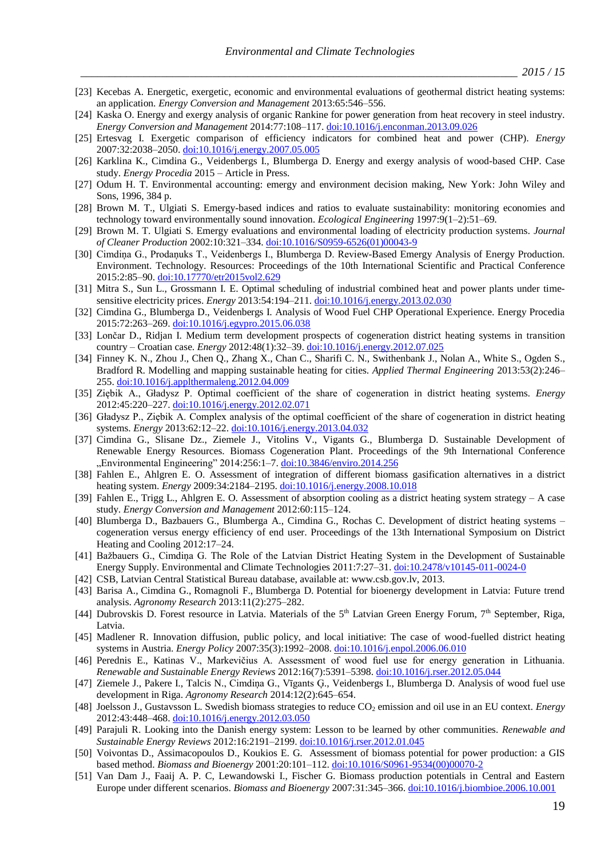- [23] Kecebas A. Energetic, exergetic, economic and environmental evaluations of geothermal district heating systems: an application. *Energy Conversion and Management* 2013:65:546–556.
- [24] Kaska O. Energy and exergy analysis of organic Rankine for power generation from heat recovery in steel industry. *Energy Conversion and Management* 2014:77:108–117. [doi:10.1016/j.enconman.2013.09.026](http://dx.doi.org/10.1016/j.enconman.2013.09.026)
- [25] Ertesvag I. Exergetic comparison of efficiency indicators for combined heat and power (CHP). *Energy* 2007:32:2038–2050. [doi:10.1016/j.energy.2007.05.005](http://dx.doi.org/10.1016/j.energy.2007.05.005)
- [26] Karklina K., Cimdina G., Veidenbergs I., Blumberga D. Energy and exergy analysis of wood-based CHP. Case study. *Energy Procedia* 2015 – Article in Press.
- [27] Odum H. T. Environmental accounting: emergy and environment decision making, New York: John Wiley and Sons, 1996, 384 p.
- [28] Brown M. T., Ulgiati S. Emergy-based indices and ratios to evaluate sustainability: monitoring economies and technology toward environmentally sound innovation. *Ecological Engineering* 1997:9(1–2):51–69.
- [29] Brown M. T. Ulgiati S. Emergy evaluations and environmental loading of electricity production systems. *Journal of Cleaner Production* 2002:10:321–334. [doi:10.1016/S0959-6526\(01\)00043-9](http://dx.doi.org/10.1016/S0959-6526(01)00043-9)
- [30] Cimdiņa G., Prodaņuks T., Veidenbergs I., Blumberga D. Review-Based Emergy Analysis of Energy Production. Environment. Technology. Resources: Proceedings of the 10th International Scientific and Practical Conference 2015:2:85–90. do[i:10.17770/etr2015vol2.629](http://dx.doi.org/10.17770/etr2015vol2.629)
- [31] Mitra S., Sun L., Grossmann I. E. Optimal scheduling of industrial combined heat and power plants under timesensitive electricity prices. *Energy* 2013:54:194–211. [doi:10.1016/j.energy.2013.02.030](http://dx.doi.org/10.1016/j.energy.2013.02.030)
- [32] Cimdina G., Blumberga D., Veidenbergs I. Analysis of Wood Fuel CHP Operational Experience. Energy Procedia 2015:72:263–269[. doi:10.1016/j.egypro.2015.06.038](http://dx.doi.org/10.1016/j.egypro.2015.06.038)
- [33] Lončar D., Ridjan I. Medium term development prospects of cogeneration district heating systems in transition country – Croatian case. *Energy* 2012:48(1):32–39. [doi:10.1016/j.energy.2012.07.025](http://dx.doi.org/10.1016/j.energy.2012.07.025)
- [34] Finney K. N., Zhou J., Chen Q., Zhang X., Chan C., Sharifi C. N., Swithenbank J., Nolan A., White S., Ogden S., Bradford R. Modelling and mapping sustainable heating for cities. *Applied Thermal Engineering* 2013:53(2):246– 255. [doi:10.1016/j.applthermaleng.2012.04.009](http://dx.doi.org/10.1016/j.applthermaleng.2012.04.009)
- [35] Ziębik A., Gładysz P. Optimal coefficient of the share of cogeneration in district heating systems. *Energy* 2012:45:220–227. [doi:10.1016/j.energy.2012.02.071](http://dx.doi.org/10.1016/j.energy.2012.02.071)
- [36] Gładysz P., Ziębik A. Complex analysis of the optimal coefficient of the share of cogeneration in district heating systems. *Energy* 2013:62:12–22. [doi:10.1016/j.energy.2013.04.032](http://dx.doi.org/10.1016/j.energy.2013.04.032)
- [37] Cimdina G., Slisane Dz., Ziemele J., Vitolins V., Vigants G., Blumberga D. Sustainable Development of Renewable Energy Resources. Biomass Cogeneration Plant. Proceedings of the 9th International Conference "Environmental Engineering" 2014:256:1-7[. doi:10.3846/enviro.2014.256](http://dx.doi.org/10.3846/enviro.2014.256)
- [38] Fahlen E., Ahlgren E. O. Assessment of integration of different biomass gasification alternatives in a district heating system. *Energy* 2009:34:2184–2195. [doi:10.1016/j.energy.2008.10.018](http://dx.doi.org/10.1016/j.energy.2008.10.018)
- [39] Fahlen E., Trigg L., Ahlgren E. O. Assessment of absorption cooling as a district heating system strategy A case study. *Energy Conversion and Management* 2012:60:115–124.
- [40] Blumberga D., Bazbauers G., Blumberga A., Cimdina G., Rochas C. Development of district heating systems cogeneration versus energy efficiency of end user. Proceedings of the 13th International Symposium on District Heating and Cooling 2012:17–24.
- [41] Bažbauers G., Cimdiņa G. The Role of the Latvian District Heating System in the Development of Sustainable Energy Supply. Environmental and Climate Technologies 2011:7:27–31. do[i:10.2478/v10145-011-0024-0](http://dx.doi.org/10.2478/v10145-011-0024-0)
- [42] CSB, Latvian Central Statistical Bureau database, available at: www.csb.gov.lv, 2013.
- [43] Barisa A., Cimdina G., Romagnoli F., [Blumberga D.](http://www-scopus-com.resursi.rtu.lv/authid/detail.url?authorId=6504072758&eid=2-s2.0-84879034562) Potential for bioenergy development in Latvia: Future trend analysis. *Agronomy Research* 2013:11(2):275–282.
- [44] Dubrovskis D. Forest resource in Latvia. Materials of the 5<sup>th</sup> Latvian Green Energy Forum, 7<sup>th</sup> September, Riga, Latvia.
- [45] Madlener R. Innovation diffusion, public policy, and local initiative: The case of wood-fuelled district heating systems in Austria. *Energy Policy* 2007:35(3):1992–2008[. doi:10.1016/j.enpol.2006.06.010](http://dx.doi.org/10.1016/j.enpol.2006.06.010)
- [46] Perednis E., Katinas V., Markevičius A. Assessment of wood fuel use for energy generation in Lithuania. *Renewable and Sustainable Energy Reviews* 2012:16(7):5391–5398[. doi:10.1016/j.rser.2012.05.044](http://dx.doi.org/10.1016/j.rser.2012.05.044)
- [47] Ziemele J., Pakere I., Talcis N., Cimdiņa G., Vīgants Ģ., Veidenbergs I., Blumberga D. Analysis of wood fuel use development in Riga. *Agronomy Research* 2014:12(2):645–654.
- [48] Joelsson J., Gustavsson L. Swedish biomass strategies to reduce CO<sub>2</sub> emission and oil use in an EU context. *Energy* 2012:43:448–468. [doi:10.1016/j.energy.2012.03.050](http://dx.doi.org/10.1016/j.energy.2012.03.050)
- [49] Parajuli R. Looking into the Danish energy system: Lesson to be learned by other communities. *Renewable and Sustainable Energy Reviews* 2012:16:2191–2199[. doi:10.1016/j.rser.2012.01.045](http://dx.doi.org/10.1016/j.rser.2012.01.045)
- [50] Voivontas D., Assimacopoulos D., Koukios E. G. [Assessment of biomass potential for power production: a](http://www.sciencedirect.com.resursi.rtu.lv/science/article/pii/S0961953400000702) GIS [based method.](http://www.sciencedirect.com.resursi.rtu.lv/science/article/pii/S0961953400000702) *Biomass and Bioenergy* 2001:20:101–112. [doi:10.1016/S0961-9534\(00\)00070-2](http://dx.doi.org/10.1016/S0961-9534(00)00070-2)
- [51] Van Dam J., Faaij A. P. C, Lewandowski I., Fischer G. Biomass production potentials in Central and Eastern Europe under different scenarios. *Biomass and Bioenergy* 2007:31:345–366. [doi:10.1016/j.biombioe.2006.10.001](http://dx.doi.org/10.1016/j.biombioe.2006.10.001)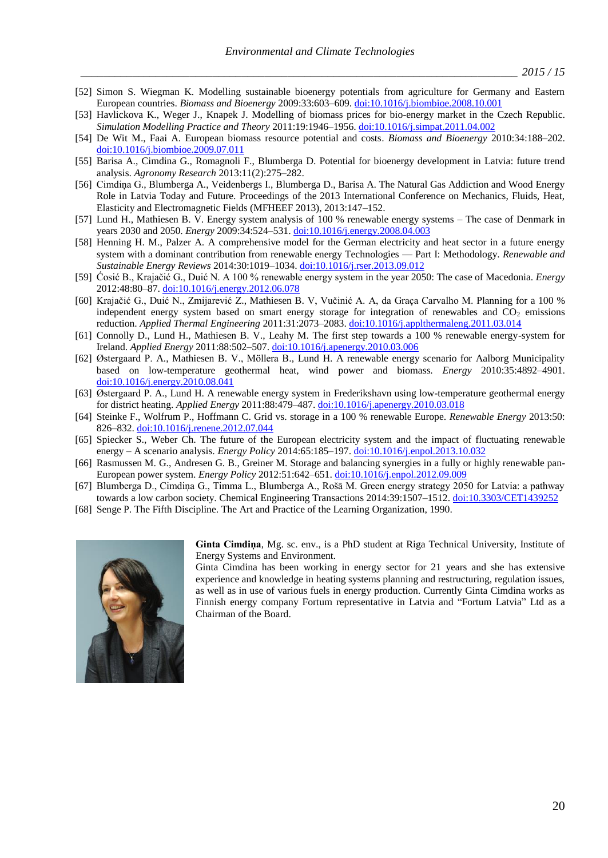- [52] Simon S. Wiegman K. [Modelling sustainable bioenergy potentials from agriculture for Germany and Eastern](http://www.sciencedirect.com.resursi.rtu.lv/science/article/pii/S0961953408002341)  [European countries.](http://www.sciencedirect.com.resursi.rtu.lv/science/article/pii/S0961953408002341) *Biomass and Bioenergy* 2009:33:603–609. [doi:10.1016/j.biombioe.2008.10.001](http://dx.doi.org/10.1016/j.biombioe.2008.10.001)
- [53] Havlickova K., Weger J., Knapek J. [Modelling of biomass prices for bio-energy market in the Czech Republic.](http://www.sciencedirect.com.resursi.rtu.lv/science/article/pii/S1569190X11000578) *[Simulation Modelling Practice and Theory](http://www.sciencedirect.com/science/journal/1569190X)* 2011:19:1946–1956. [doi:10.1016/j.simpat.2011.04.002](http://dx.doi.org/10.1016/j.simpat.2011.04.002)
- [54] De Wit M., Faai A. [European biomass resource potential and costs.](http://www.sciencedirect.com.resursi.rtu.lv/science/article/pii/S0961953409001457) *Biomass and Bioenergy* 2010:34:188–202. [doi:10.1016/j.biombioe.2009.07.011](http://dx.doi.org/10.1016/j.biombioe.2009.07.011)
- [55] Barisa A., Cimdina G., Romagnoli F., Blumberga D. Potential for bioenergy development in Latvia: future trend analysis. *Agronomy Research* 2013:11(2):275–282.
- [56] Cimdiņa G., Blumberga A., Veidenbergs I., Blumberga D., Barisa A. The Natural Gas Addiction and Wood Energy Role in Latvia Today and Future. Proceedings of the 2013 International Conference on Mechanics, Fluids, Heat, Elasticity and Electromagnetic Fields (MFHEEF 2013), 2013:147–152.
- [57] Lund H., Mathiesen B. V. Energy system analysis of 100 % renewable energy systems The case of Denmark in years 2030 and 2050. *Energy* 2009:34:524–531. [doi:10.1016/j.energy.2008.04.003](http://dx.doi.org/10.1016/j.energy.2008.04.003)
- [58] Henning H. M., Palzer A. A comprehensive model for the German electricity and heat sector in a future energy system with a dominant contribution from renewable energy Technologies — Part I: Methodology. *Renewable and Sustainable Energy Reviews* 2014:30:1019–1034. [doi:10.1016/j.rser.2013.09.012](http://dx.doi.org/10.1016/j.rser.2013.09.012)
- [59] Ćosić B., Krajačić G., Duić N. A 100 % renewable energy system in the year 2050: The case of Macedonia. *Energy* 2012:48:80–87. [doi:10.1016/j.energy.2012.06.078](http://dx.doi.org/10.1016/j.energy.2012.06.078)
- [60] Krajačić G., Duić N., Zmijarević Z., Mathiesen B. V, Vučinić A. A, da Graça Carvalho M. Planning for a 100 % independent energy system based on smart energy storage for integration of renewables and  $CO<sub>2</sub>$  emissions reduction. *Applied Thermal Engineering* 2011:31:2073–2083. [doi:10.1016/j.applthermaleng.2011.03.014](http://dx.doi.org/10.1016/j.applthermaleng.2011.03.014)
- [61] Connolly D., Lund H., Mathiesen B. V., Leahy M. The first step towards a 100 % renewable energy-system for Ireland. *Applied Energy* 2011:88:502–507. [doi:10.1016/j.apenergy.2010.03.006](http://dx.doi.org/10.1016/j.apenergy.2010.03.006)
- [62] Østergaard P. A., Mathiesen B. V., Möllera B., Lund H. A renewable energy scenario for Aalborg Municipality based on low-temperature geothermal heat, wind power and biomass. *Energy* 2010:35:4892–4901. [doi:10.1016/j.energy.2010.08.041](http://dx.doi.org/10.1016/j.energy.2010.08.041)
- [63] Østergaard P. A., Lund H. A renewable energy system in Frederikshavn using low-temperature geothermal energy for district heating. *Applied Energy* 2011:88:479–487. [doi:10.1016/j.apenergy.2010.03.018](http://dx.doi.org/10.1016/j.apenergy.2010.03.018)
- [64] Steinke F., Wolfrum P., Hoffmann C. Grid vs. storage in a 100 % renewable Europe. *Renewable Energy* 2013:50: 826–832. [doi:10.1016/j.renene.2012.07.044](http://dx.doi.org/10.1016/j.renene.2012.07.044)
- [65] Spiecker S., Weber Ch. The future of the European electricity system and the impact of fluctuating renewable energy – A scenario analysis. *Energy Policy* 2014:65:185–197. [doi:10.1016/j.enpol.2013.10.032](http://dx.doi.org/10.1016/j.enpol.2013.10.032)
- [66] Rasmussen M. G., Andresen G. B., Greiner M. Storage and balancing synergies in a fully or highly renewable pan-European power system. *Energy Policy* 2012:51:642–651. [doi:10.1016/j.enpol.2012.09.009](http://dx.doi.org/10.1016/j.enpol.2012.09.009)
- [67] Blumberga D., Cimdiņa G., Timma L., Blumberga A., Rošā M. Green energy strategy 2050 for Latvia: a pathway towards a low carbon society. Chemical Engineering Transactions 2014:39:1507–1512. [doi:10.3303/CET1439252](http://dx.doi.org/10.3303/CET1439252)
- [68] Senge P. The Fifth Discipline. The Art and Practice of the Learning Organization, 1990.



**Ginta Cimdiņa**, Mg. sc. env., is a PhD student at Riga Technical University, Institute of Energy Systems and Environment.

Ginta Cimdina has been working in energy sector for 21 years and she has extensive experience and knowledge in heating systems planning and restructuring, regulation issues, as well as in use of various fuels in energy production. Currently Ginta Cimdina works as Finnish energy company Fortum representative in Latvia and "Fortum Latvia" Ltd as a Chairman of the Board.